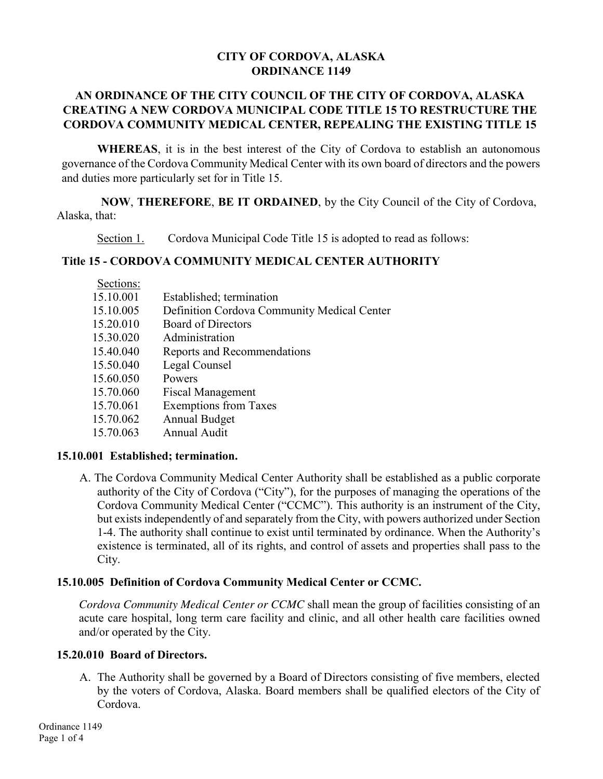### **CITY OF CORDOVA, ALASKA ORDINANCE 1149**

## **AN ORDINANCE OF THE CITY COUNCIL OF THE CITY OF CORDOVA, ALASKA CREATING A NEW CORDOVA MUNICIPAL CODE TITLE 15 TO RESTRUCTURE THE CORDOVA COMMUNITY MEDICAL CENTER, REPEALING THE EXISTING TITLE 15**

**WHEREAS**, it is in the best interest of the City of Cordova to establish an autonomous governance of the Cordova Community Medical Center with its own board of directors and the powers and duties more particularly set for in Title 15.

**NOW**, **THEREFORE**, **BE IT ORDAINED**, by the City Council of the City of Cordova, Alaska, that:

Section 1. Cordova Municipal Code Title 15 is adopted to read as follows:

### **Title 15 - CORDOVA COMMUNITY MEDICAL CENTER AUTHORITY**

| Sections: |                                             |
|-----------|---------------------------------------------|
| 15.10.001 | Established; termination                    |
| 15.10.005 | Definition Cordova Community Medical Center |
| 15.20.010 | <b>Board of Directors</b>                   |
| 15.30.020 | Administration                              |
| 15.40.040 | Reports and Recommendations                 |
| 15.50.040 | Legal Counsel                               |
| 15.60.050 | Powers                                      |
| 15.70.060 | <b>Fiscal Management</b>                    |
| 15.70.061 | <b>Exemptions from Taxes</b>                |
| 15.70.062 | <b>Annual Budget</b>                        |
| 15.70.063 | Annual Audit                                |
|           |                                             |

### **15.10.001 Established; termination.**

A. The Cordova Community Medical Center Authority shall be established as a public corporate authority of the City of Cordova ("City"), for the purposes of managing the operations of the Cordova Community Medical Center ("CCMC"). This authority is an instrument of the City, but exists independently of and separately from the City, with powers authorized under Section 1-4. The authority shall continue to exist until terminated by ordinance. When the Authority's existence is terminated, all of its rights, and control of assets and properties shall pass to the City.

### **15.10.005 Definition of Cordova Community Medical Center or CCMC.**

*Cordova Community Medical Center or CCMC* shall mean the group of facilities consisting of an acute care hospital, long term care facility and clinic, and all other health care facilities owned and/or operated by the City.

### **15.20.010 Board of Directors.**

A. The Authority shall be governed by a Board of Directors consisting of five members, elected by the voters of Cordova, Alaska. Board members shall be qualified electors of the City of Cordova.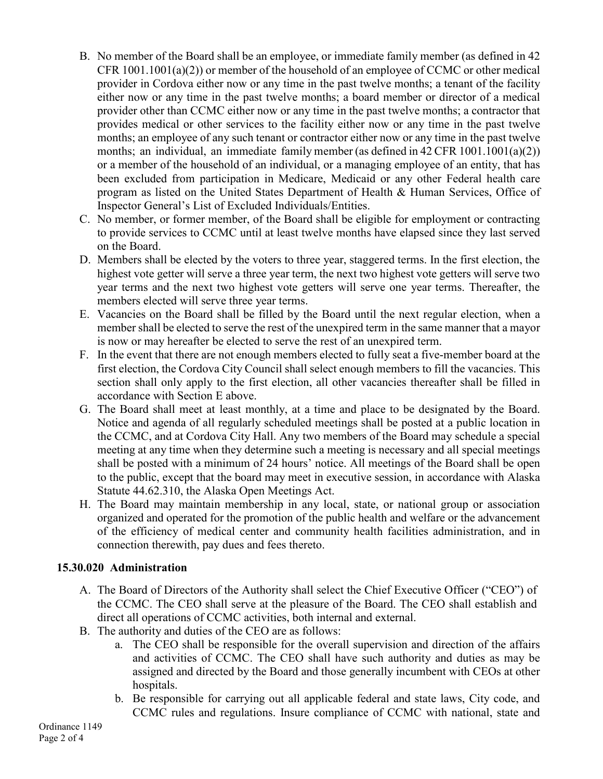- B. No member of the Board shall be an employee, or immediate family member (as defined in 42 CFR  $1001.1001(a)(2)$  or member of the household of an employee of CCMC or other medical provider in Cordova either now or any time in the past twelve months; a tenant of the facility either now or any time in the past twelve months; a board member or director of a medical provider other than CCMC either now or any time in the past twelve months; a contractor that provides medical or other services to the facility either now or any time in the past twelve months; an employee of any such tenant or contractor either now or any time in the past twelve months; an individual, an immediate family member (as defined in 42 CFR 1001.1001(a)(2)) or a member of the household of an individual, or a managing employee of an entity, that has been excluded from participation in Medicare, Medicaid or any other Federal health care program as listed on the United States Department of Health & Human Services, Office of Inspector General's List of Excluded Individuals/Entities.
- C. No member, or former member, of the Board shall be eligible for employment or contracting to provide services to CCMC until at least twelve months have elapsed since they last served on the Board.
- D. Members shall be elected by the voters to three year, staggered terms. In the first election, the highest vote getter will serve a three year term, the next two highest vote getters will serve two year terms and the next two highest vote getters will serve one year terms. Thereafter, the members elected will serve three year terms.
- E. Vacancies on the Board shall be filled by the Board until the next regular election, when a member shall be elected to serve the rest of the unexpired term in the same manner that a mayor is now or may hereafter be elected to serve the rest of an unexpired term.
- F. In the event that there are not enough members elected to fully seat a five-member board at the first election, the Cordova City Council shall select enough members to fill the vacancies. This section shall only apply to the first election, all other vacancies thereafter shall be filled in accordance with Section E above.
- G. The Board shall meet at least monthly, at a time and place to be designated by the Board. Notice and agenda of all regularly scheduled meetings shall be posted at a public location in the CCMC, and at Cordova City Hall. Any two members of the Board may schedule a special meeting at any time when they determine such a meeting is necessary and all special meetings shall be posted with a minimum of 24 hours' notice. All meetings of the Board shall be open to the public, except that the board may meet in executive session, in accordance with Alaska Statute 44.62.310, the Alaska Open Meetings Act.
- H. The Board may maintain membership in any local, state, or national group or association organized and operated for the promotion of the public health and welfare or the advancement of the efficiency of medical center and community health facilities administration, and in connection therewith, pay dues and fees thereto.

## **15.30.020 Administration**

- A. The Board of Directors of the Authority shall select the Chief Executive Officer ("CEO") of the CCMC. The CEO shall serve at the pleasure of the Board. The CEO shall establish and direct all operations of CCMC activities, both internal and external.
- B. The authority and duties of the CEO are as follows:
	- a. The CEO shall be responsible for the overall supervision and direction of the affairs and activities of CCMC. The CEO shall have such authority and duties as may be assigned and directed by the Board and those generally incumbent with CEOs at other hospitals.
	- b. Be responsible for carrying out all applicable federal and state laws, City code, and CCMC rules and regulations. Insure compliance of CCMC with national, state and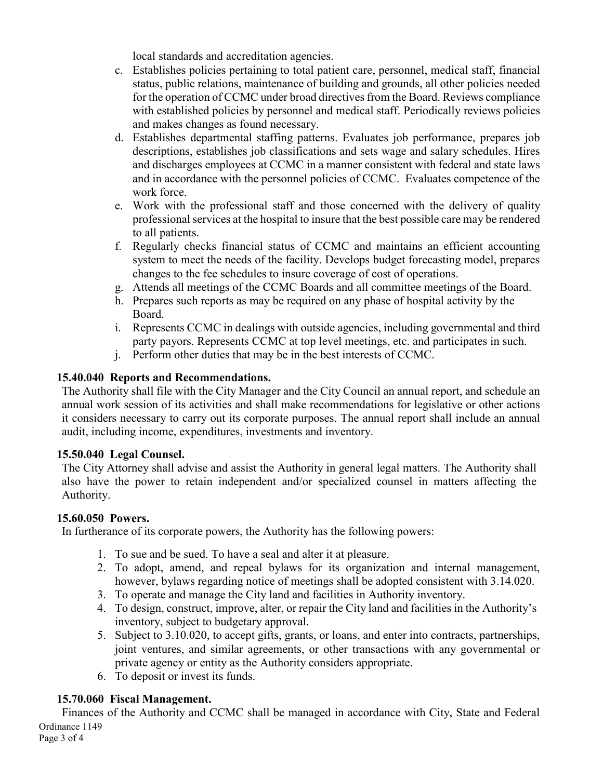local standards and accreditation agencies.

- c. Establishes policies pertaining to total patient care, personnel, medical staff, financial status, public relations, maintenance of building and grounds, all other policies needed for the operation of CCMC under broad directives from the Board. Reviews compliance with established policies by personnel and medical staff. Periodically reviews policies and makes changes as found necessary.
- d. Establishes departmental staffing patterns. Evaluates job performance, prepares job descriptions, establishes job classifications and sets wage and salary schedules. Hires and discharges employees at CCMC in a manner consistent with federal and state laws and in accordance with the personnel policies of CCMC. Evaluates competence of the work force.
- e. Work with the professional staff and those concerned with the delivery of quality professional services at the hospital to insure that the best possible care may be rendered to all patients.
- f. Regularly checks financial status of CCMC and maintains an efficient accounting system to meet the needs of the facility. Develops budget forecasting model, prepares changes to the fee schedules to insure coverage of cost of operations.
- g. Attends all meetings of the CCMC Boards and all committee meetings of the Board.
- h. Prepares such reports as may be required on any phase of hospital activity by the Board.
- i. Represents CCMC in dealings with outside agencies, including governmental and third party payors. Represents CCMC at top level meetings, etc. and participates in such.
- j. Perform other duties that may be in the best interests of CCMC.

## **15.40.040 Reports and Recommendations.**

The Authority shall file with the City Manager and the City Council an annual report, and schedule an annual work session of its activities and shall make recommendations for legislative or other actions it considers necessary to carry out its corporate purposes. The annual report shall include an annual audit, including income, expenditures, investments and inventory.

## **15.50.040 Legal Counsel.**

The City Attorney shall advise and assist the Authority in general legal matters. The Authority shall also have the power to retain independent and/or specialized counsel in matters affecting the Authority.

## **15.60.050 Powers.**

In furtherance of its corporate powers, the Authority has the following powers:

- 1. To sue and be sued. To have a seal and alter it at pleasure.
- 2. To adopt, amend, and repeal bylaws for its organization and internal management, however, bylaws regarding notice of meetings shall be adopted consistent with 3.14.020.
- 3. To operate and manage the City land and facilities in Authority inventory.
- 4. To design, construct, improve, alter, or repair the City land and facilities in the Authority's inventory, subject to budgetary approval.
- 5. Subject to 3.10.020, to accept gifts, grants, or loans, and enter into contracts, partnerships, joint ventures, and similar agreements, or other transactions with any governmental or private agency or entity as the Authority considers appropriate.
- 6. To deposit or invest its funds.

# **15.70.060 Fiscal Management.**

Finances of the Authority and CCMC shall be managed in accordance with City, State and Federal Ordinance 1149